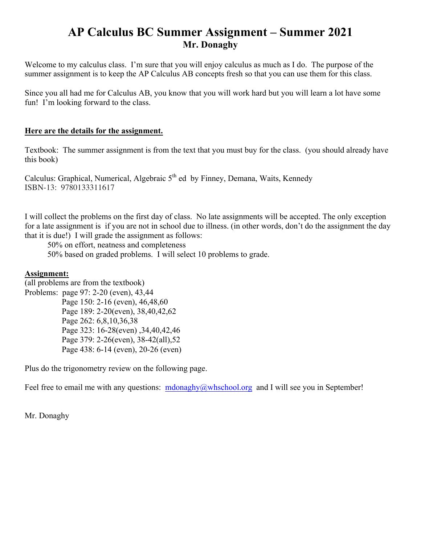## **AP Calculus BC Summer Assignment – Summer 2021 Mr. Donaghy**

Welcome to my calculus class. I'm sure that you will enjoy calculus as much as I do. The purpose of the summer assignment is to keep the AP Calculus AB concepts fresh so that you can use them for this class.

Since you all had me for Calculus AB, you know that you will work hard but you will learn a lot have some fun! I'm looking forward to the class.

## **Here are the details for the assignment.**

Textbook: The summer assignment is from the text that you must buy for the class. (you should already have this book)

Calculus: Graphical, Numerical, Algebraic  $5<sup>th</sup>$  ed by Finney, Demana, Waits, Kennedy ISBN-13: 9780133311617

I will collect the problems on the first day of class. No late assignments will be accepted. The only exception for a late assignment is if you are not in school due to illness. (in other words, don't do the assignment the day that it is due!) I will grade the assignment as follows:

50% on effort, neatness and completeness

50% based on graded problems. I will select 10 problems to grade.

## **Assignment:**

(all problems are from the textbook) Problems: page 97: 2-20 (even), 43,44 Page 150: 2-16 (even), 46,48,60 Page 189: 2-20(even), 38,40,42,62 Page 262: 6,8,10,36,38 Page 323: 16-28(even) , 34, 40, 42, 46 Page 379: 2-26(even), 38-42(all),52 Page 438: 6-14 (even), 20-26 (even)

Plus do the trigonometry review on the following page.

Feel free to email me with any questions: mdonaghy@whschool.org and I will see you in September!

Mr. Donaghy